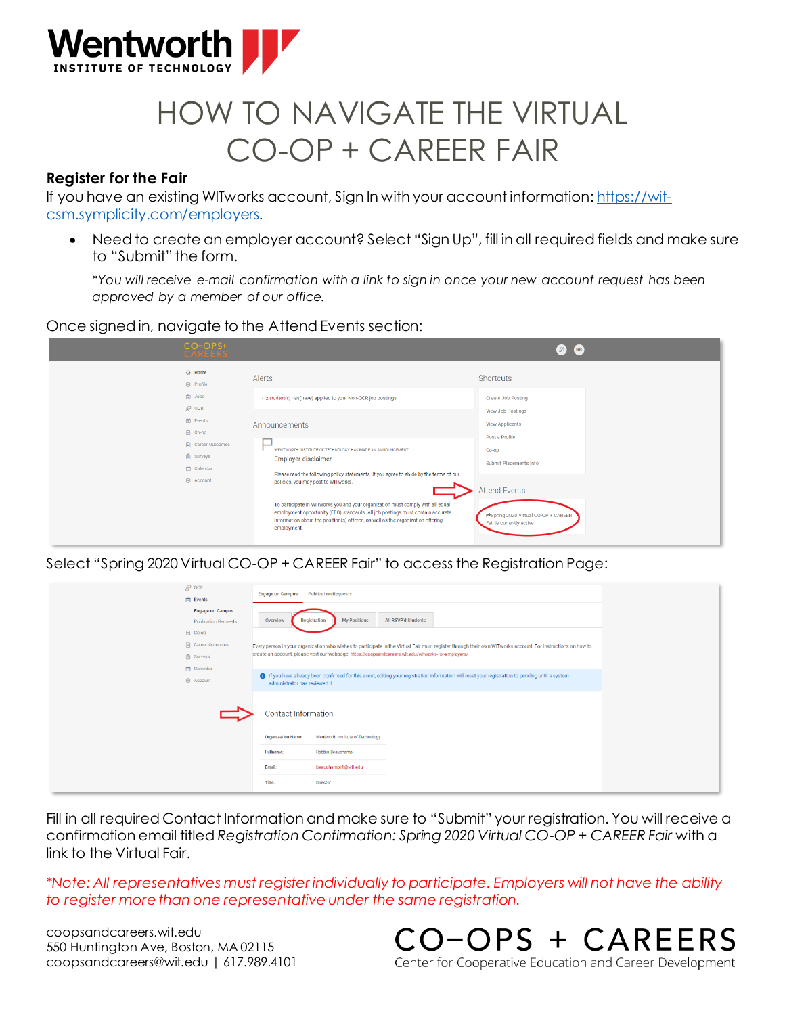

# HOW TO NAVIGATE THE VIRTUAL CO-OP + CAREER FAIR

### **Register for the Fair**

If you have an existing WITworks account, Sign In with your account information[: https://wit](https://wit-csm.symplicity.com/employers)[csm.symplicity.com/employers](https://wit-csm.symplicity.com/employers).

• Need to create an employer account? Select "Sign Up", fill in all required fields and make sure to "Submit" the form.

*\*You will receive e-mail confirmation with a link to sign in once your new account request has been approved by a member of our office.*

Once signed in, navigate to the Attend Events section:

| $CO-OPS+$<br>CARÉERS                                                                      |                                                                                                                                                                                                                                                                                                                                                                                                      | $\sqrt{2}$ (RB)                                                                              |
|-------------------------------------------------------------------------------------------|------------------------------------------------------------------------------------------------------------------------------------------------------------------------------------------------------------------------------------------------------------------------------------------------------------------------------------------------------------------------------------------------------|----------------------------------------------------------------------------------------------|
| <b>△ Home</b><br><b>@ Profile</b><br><b>白 Jobs</b>                                        | Alerts<br>> 2 student(s) has(have) applied to your Non-OCR job postings.                                                                                                                                                                                                                                                                                                                             | <b>Shortcuts</b><br><b>Create Job Posting</b>                                                |
| $R^3$ OCR<br><b>曲</b> Events<br><b>简 Co-op</b><br>Career Outcomes<br>$\mathbb{P}$ Surveys | Announcements<br>WENTWORTH INSTITUTE OF TECHNOLOGY HAS MADE AN ANNOUNCEMENT<br>Employer disclaimer                                                                                                                                                                                                                                                                                                   | View Job Postings<br>View Applicants<br>Post a Profile<br>$Co$ -op<br>Submit Placements Info |
| Calendar<br>8 Account                                                                     | Please read the following policy statements. If you agree to abide by the terms of our<br>policies, you may post to WITworks.<br>To participate in WITworks you and your organization must comply with all equal<br>employment opportunity (EEO) standards. All job postings must contain accurate<br>information about the position(s) offered, as well as the organization offering<br>employment. | <b>Attend Events</b><br>Spring 2020 Virtual CO-OP + CAREER<br>Fair is currently active       |

Select "Spring 2020 Virtual CO-OP + CAREER Fair" to access the Registration Page:

| $R^2$ OCR<br>营 Events                                  | <b>Publication Requests</b><br><b>Engage on Campus</b>                                                                                                                                                                                                               |  |  |
|--------------------------------------------------------|----------------------------------------------------------------------------------------------------------------------------------------------------------------------------------------------------------------------------------------------------------------------|--|--|
| <b>Engage on Campus</b><br><b>Publication Requests</b> | All RSVP'd Students<br><b>My Positions</b><br>Registration<br>Overview                                                                                                                                                                                               |  |  |
| <b>岡</b> Co-op<br>Career Outcomes<br>Surveys           | Every person in your organization who wishes to participate in the Virtual Fair must register through their own WITworks account. For instructions on how to<br>create an account, please visit our webpage: https://coopsandcareers.wit.edu/witworks-for-employers/ |  |  |
| Calendar<br><b>&amp;</b> Account                       | 1 If you have already been confirmed for this event, editing your registration information will reset your registration to pending until a system<br>administrator has reviewed it.                                                                                  |  |  |
|                                                        | Contact Information                                                                                                                                                                                                                                                  |  |  |
|                                                        | Wentworth Institute of Technology<br><b>Organization Name:</b>                                                                                                                                                                                                       |  |  |
|                                                        | Fullname:<br>Robbin Beauchamp                                                                                                                                                                                                                                        |  |  |
|                                                        | beauchampr1@wit.edu<br>Email:                                                                                                                                                                                                                                        |  |  |
|                                                        | Title:<br><b>Director</b>                                                                                                                                                                                                                                            |  |  |

Fill in all required Contact Information and make sure to "Submit" your registration. You will receive a confirmation email titled *Registration Confirmation: Spring 2020 Virtual CO-OP + CAREER Fair* with a link to the Virtual Fair.

*\*Note: All representatives must register individually to participate. Employers will not have the ability to register more than one representative under the same registration.*

coopsandcareers.wit.edu 550 Huntington Ave, Boston, MA 02115 coopsandcareers@wit.edu | 617.989.4101 CO-OPS + CAREERS Center for Cooperative Education and Career Development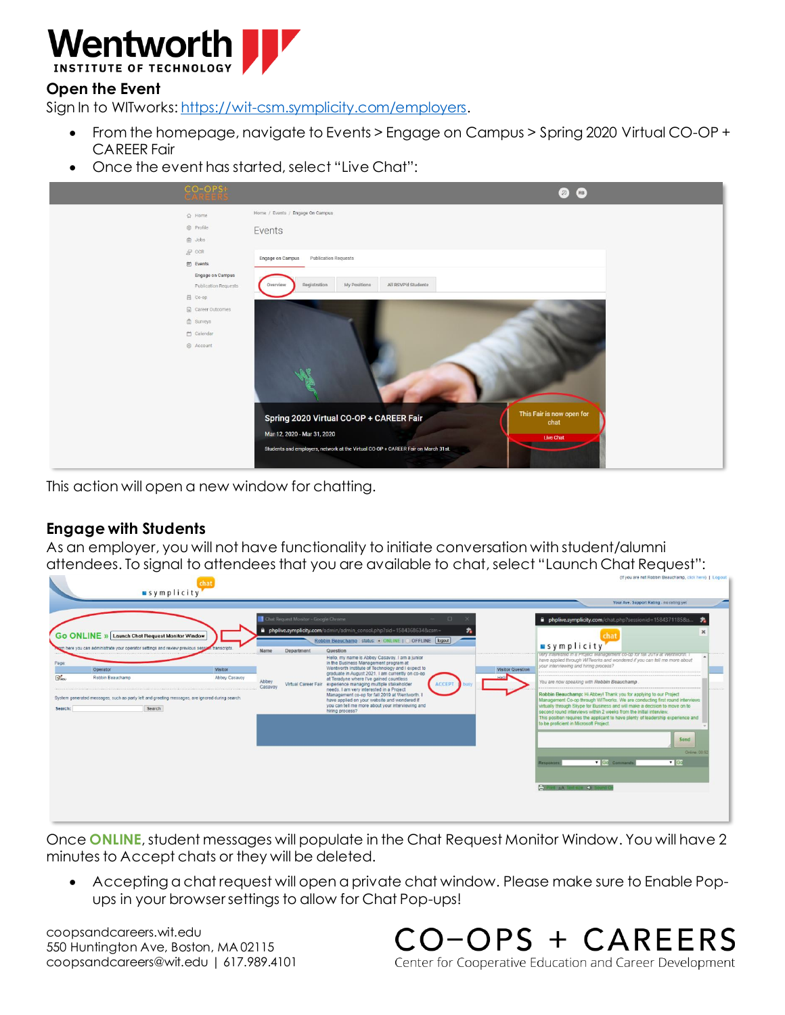

## **Open the Event**

Sign In to WITworks[: https://wit-csm.symplicity.com/employers](https://wit-csm.symplicity.com/employers).

- From the homepage, navigate to Events > Engage on Campus > Spring 2020 Virtual CO-OP + CAREER Fair
- Once the event has started, select "Live Chat":



This action will open a new window for chatting.

#### **Engage with Students**

As an employer, you will not have functionality to initiate conversation with student/alumni attendees. To signal to attendees that you are available to chat, select "Launch Chat Request":



Once **ONLINE**, student messages will populate in the Chat Request Monitor Window. You will have 2 minutes to Accept chats or they will be deleted.

• Accepting a chat request will open a private chat window. Please make sure to Enable Popups in your browser settings to allow for Chat Pop-ups!

coopsandcareers.wit.edu 550 Huntington Ave, Boston, MA 02115 coopsandcareers@wit.edu | 617.989.4101 CO-OPS + CAREERS Center for Cooperative Education and Career Development